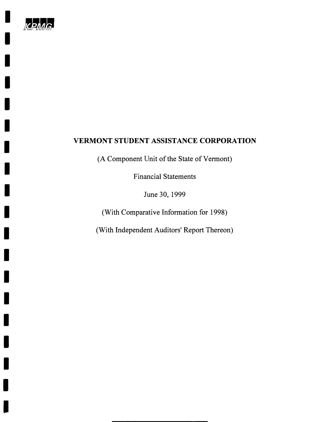

I

I

I

I

I

I

I

I

I

I

I

I

I

I

I

I

I

I

I

# **VERMONT STUDENT ASSISTANCE CORPORATION**

(A Component Unit of the State of Vermont)

Financial Statements

June 30, 1999

(With Comparative Information for 1998)

(With Independent Auditors' Report Thereon)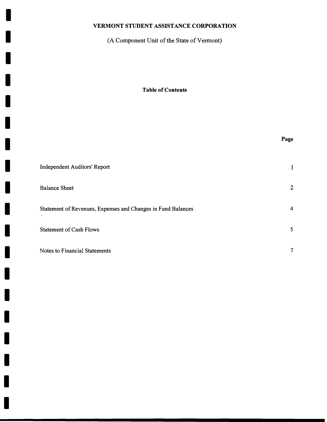I

I

I

I

I

I

I

I

I

I

I

I

I

I

I

I

I

I

I

(A Component Unit of the State of Vermont)

**Table of Contents** 

|                                                              | Page           |
|--------------------------------------------------------------|----------------|
| <b>Independent Auditors' Report</b>                          | 1              |
| <b>Balance Sheet</b>                                         | $\overline{2}$ |
| Statement of Revenues, Expenses and Changes in Fund Balances | 4              |
| <b>Statement of Cash Flows</b>                               | 5              |
| Notes to Financial Statements                                | 7              |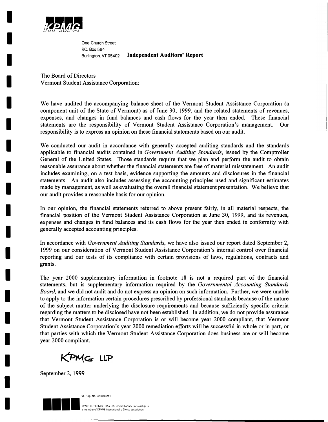

I

I

I

I

I

I

I

I

I

I

I

I

I

I

I

I

I

I

I

One Church Street P.O. Box 564 Burlington, VT 05402 **Independent Auditors' Report** 

The Board of Directors Vermont Student Assistance Corporation:

We have audited the accompanying balance sheet of the Vermont Student Assistance Corporation (a component unit of the State of Vermont) as of June 30, 1999, and the related statements of revenues, expenses, and changes in fund balances and cash flows for the year then ended. These financial statements are the responsibility of Vermont Student Assistance Corporation's management. Our responsibility is to express an opinion on these financial statements based on our audit.

We conducted our audit in accordance with generally accepted auditing standards and the standards applicable to financial audits contained in *Government Auditing Standards,* issued by the Comptroller General of the United States. Those standards require that we plan and perform the audit to obtain reasonable assurance about whether the financial statements are free of material misstatement. An audit includes examining, on a test basis, evidence supporting the amounts and disclosures in the financial statements. An audit also includes assessing the accounting principles used and significant estimates made by management, as well as evaluating the overall financial statement presentation. We believe that our audit provides a reasonable basis for our opinion.

In our opinion, the financial statements referred to above present fairly, in all material respects, the financial position of the Vermont Student Assistance Corporation at June 30, 1999, and its revenues, expenses and changes in fund balances and its cash flows for the year then ended in conformity with generally accepted accounting principles.

In accordance with *Government Auditing Standards,* we have also issued our report dated September 2, 1999 on our consideration of Vermont Student Assistance Corporation's internal control over financial reporting and our tests of its compliance with certain provisions of laws, regulations, contracts and grants.

The year 2000 supplementary information in footnote 18 is not a required part of the financial statements, but is supplementary information required by the *Governmental Accounting Standards Board,* and we did not audit and do not express an opinion on such information. Further, we were unable to apply to the information certain procedures prescribed by professional standards because of the nature of the subject matter underlying the disclosure requirements and because sufficiently specific criteria regarding the matters to be disclosed have not been established. In addition, we do not provide assurance that Vermont Student Assistance Corporation is or will become year 2000 compliant, that Vermont Student Assistance Corporation's year 2000 remediation efforts will be successful in whole or in part, or that parties with which the Vermont Student Assistance Corporation does business are or will become year 2000 compliant.

KPMG LLP

September 2, 1999



Vt. Reg. No. 92-0000241

ership, is er of KPMG International, a Swiss association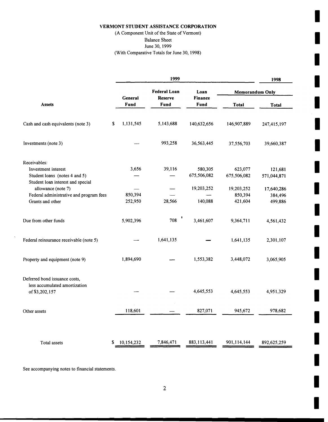I

I

I

(A Component Unit of the State of Vermont)<br>Balance Sheet

June 30, 1999<br>(With Comparative Totals for June 30, 1998) (With Comparative Totals for June 30, 1998) Inc. 2014 1998 Inc. 2014 1998 Inc. 2014

|                                                                                           |                 | 1999                                  |                        |                        | 1998                   |  |
|-------------------------------------------------------------------------------------------|-----------------|---------------------------------------|------------------------|------------------------|------------------------|--|
|                                                                                           | General         | <b>Federal Loan</b><br><b>Reserve</b> | Loan<br><b>Finance</b> |                        | <b>Memorandum Only</b> |  |
| <b>Assets</b>                                                                             | Fund            | Fund                                  | Fund                   | <b>Total</b>           | <b>Total</b>           |  |
| Cash and cash equivalents (note 3)                                                        | \$<br>1,131,545 | 5,143,688                             | 140,632,656            | 146,907,889            | 247,415,197            |  |
| Investments (note 3)                                                                      |                 | 993,258                               | 36,563,445             | 37,556,703             | 39,660,387             |  |
| Receivables:                                                                              |                 |                                       |                        |                        |                        |  |
| Investment interest<br>Student loans (notes 4 and 5)<br>Student loan interest and special | 3,656           | 39,116                                | 580,305<br>675,506,082 | 623,077<br>675,506,082 | 121,681<br>571,044,871 |  |
| allowance (note 7)                                                                        |                 |                                       | 19,203,252             | 19,203,252             | 17,640,286             |  |
| Federal administrative and program fees                                                   | 850,394         |                                       |                        | 850,394                | 384,496                |  |
| Grants and other                                                                          | 252,950         | 28,566                                | 140,088                | 421,604                | 499,886                |  |
| Due from other funds                                                                      | 5,902,396       | 708                                   | 3,461,607              | 9,364,711              | 4,561,432              |  |
| Federal reinsurance receivable (note 5)                                                   |                 | 1,641,135                             |                        | 1,641,135              | 2,301,107              |  |
| Property and equipment (note 9)                                                           | 1,894,690       |                                       | 1,553,382              | 3,448,072              | 3,065,905              |  |
| Deferred bond issuance costs,<br>less accumulated amortization                            |                 |                                       |                        |                        |                        |  |
| of \$3,202,157                                                                            |                 |                                       | 4,645,553              | 4,645,553              | 4,951,329              |  |
| Other assets                                                                              | 118,601         |                                       | 827,071                | 945,672                | 978,682                |  |
|                                                                                           |                 |                                       |                        |                        |                        |  |
| Total assets                                                                              | 10,154,232<br>S | 7,846,471                             | 883, 113, 441          | 901,114,144            | 892,625,259            |  |

See accompanying notes to financial statements.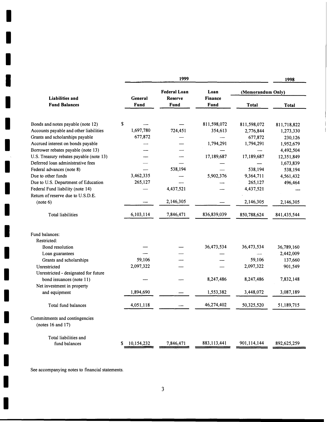|                                         |                  | 1999                                  |                        |                   | 1998         |
|-----------------------------------------|------------------|---------------------------------------|------------------------|-------------------|--------------|
| <b>Liabilities and</b>                  | General          | <b>Federal Loan</b><br><b>Reserve</b> | Loan<br><b>Finance</b> | (Memorandum Only) |              |
| <b>Fund Balances</b>                    | Fund             | Fund                                  | Fund                   | <b>Total</b>      | <b>Total</b> |
| Bonds and notes payable (note 12)       | \$               |                                       | 811,598,072            | 811,598,072       | 811,718,822  |
| Accounts payable and other liabilities  | 1,697,780        | 724,451                               | 354,613                | 2,776,844         | 1,273,330    |
| Grants and scholarships payable         | 677,872          |                                       |                        | 677,872           | 230,126      |
| Accrued interest on bonds payable       |                  |                                       | 1,794,291              | 1,794,291         | 1,952,679    |
| Borrower rebates payable (note 13)      |                  |                                       |                        |                   | 4,492,504    |
| U.S. Treasury rebates payable (note 13) |                  |                                       | 17,189,687             | 17,189,687        | 12,351,849   |
| Deferred loan administrative fees       |                  |                                       |                        |                   | 1,673,839    |
| Federal advances (note 8)               |                  | 538,194                               |                        | 538,194           | 538,194      |
| Due to other funds                      | 3,462,335        |                                       | 5,902,376              | 9,364,711         | 4,561,432    |
| Due to U.S. Department of Education     | 265,127          |                                       |                        | 265,127           | 496,464      |
| Federal Fund liability (note 14)        |                  | 4,437,521                             |                        | 4,437,521         |              |
| Return of reserve due to U.S.D.E.       |                  |                                       |                        |                   |              |
| (note 6)                                |                  | 2,146,305                             |                        | 2,146,305         | 2,146,305    |
| <b>Total liabilities</b>                | 6,103,114        | 7,846,471                             | 836,839,039            | 850,788,624       | 841,435,544  |
| Fund balances:                          |                  |                                       |                        |                   |              |
| Restricted:                             |                  |                                       |                        |                   |              |
| Bond resolution                         |                  |                                       | 36,473,534             | 36,473,534        | 36,789,160   |
| Loan guarantees                         |                  |                                       |                        |                   | 2,442,009    |
| Grants and scholarships                 | 59,106           |                                       |                        | 59,106            | 137,660      |
| Unrestricted                            | 2,097,322        |                                       |                        | 2,097,322         | 901,549      |
| Unrestricted - designated for future    |                  |                                       |                        |                   |              |
| bond issuances (note 11)                |                  |                                       | 8,247,486              | 8,247,486         | 7,832,148    |
| Net investment in property              |                  |                                       |                        |                   |              |
| and equipment                           | 1,894,690        |                                       | 1,553,382              | 3,448,072         | 3,087,189    |
| Total fund balances                     | 4,051,118        |                                       | 46,274,402             | 50,325,520        | 51,189,715   |
| Commitments and contingencies           |                  |                                       |                        |                   |              |
| (notes $16$ and $17$ )                  |                  |                                       |                        |                   |              |
| Total liabilities and                   |                  |                                       |                        |                   |              |
| fund balances                           | 10,154,232<br>\$ | 7,846,471                             | 883,113,441            | 901,114,144       | 892,625,259  |

See accompanying notes to financial statements.

I

I

I

I

I

I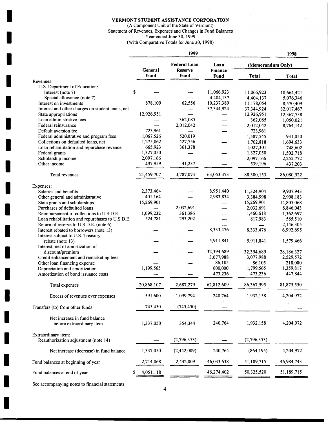(A Component Unit of the State of Vermont) Statement of Revenues, Expenses and Changes in Fund Balances<br>
Year ended June 30, 1999<br>
(With Comparative Totals for June 30, 1998) Year ended June 30, 1999 (With Comparative Totals for June 30, 1998)

|                                                  | 1999<br>1998 |                                       |                        |                   |              |
|--------------------------------------------------|--------------|---------------------------------------|------------------------|-------------------|--------------|
|                                                  | General      | <b>Federal Loan</b><br><b>Reserve</b> | Loan<br><b>Finance</b> | (Memorandum Only) |              |
|                                                  | Fund         | Fund                                  | Fund                   | <b>Total</b>      | <b>Total</b> |
| Revenues:                                        |              |                                       |                        |                   |              |
| U.S. Department of Education:                    |              |                                       |                        |                   |              |
| Interest (note 7)                                | \$           |                                       | 11,066,923             | 11,066,923        | 10,664,421   |
| Special allowance (note 7)                       |              |                                       | 4,404,137              | 4,404,137         | 5,076,346    |
| Interest on investments                          | 878,109      | 62,556                                | 10,237,389             | 11,178,054        | 8,570,409    |
| Interest and other charges on student loans, net |              |                                       | 37,344,924             | 37,344,924        | 32,017,467   |
| State appropriations                             | 12,926,951   |                                       |                        | 12,926,951        | 12,367,738   |
| Loan administrative fees                         |              | 362,085                               |                        | 362,085           | 1,050,021    |
| Federal reinsurance                              |              | 2,012,042                             |                        | 2,012,042         | 8,764,142    |
| Default aversion fee                             | 723,961      |                                       |                        | 723,961           |              |
| Federal administrative and program fees          | 1,067,526    | 520,019                               |                        | 1,587,545         | 931,050      |
| Collections on defaulted loans, net              | 1,275,062    | 427,756                               |                        | 1,702,818         | 1,694,633    |
| Loan rehabilitation and repurchase revenue       | 665,923      | 361,378                               |                        | 1,027,301         | 748,602      |
| Federal grants                                   | 1,327,050    |                                       |                        | 1,327,050         | 1,502,718    |
| Scholarship income                               | 2,097,166    |                                       |                        | 2,097,166         | 2,255,772    |
| Other income                                     | 497,959      | 41,237                                |                        | 539,196           | 437,203      |
| Total revenues                                   | 21,459,707   | 3,787,073                             | 63,053,373             | 88,300,153        | 86,080,522   |
| Expenses:                                        |              |                                       |                        |                   |              |
| Salaries and benefits                            | 2,373,464    |                                       | 8,951,440              | 11,324,904        | 9,907,943    |
| Other general and administrative                 | 401,164      |                                       | 2,983,834              | 3,384,998         | 2,908,183    |
| State grants and scholarships                    | 15,269,901   |                                       |                        | 15,269,901        | 14,805,068   |
| Purchases of defaulted loans                     |              | 2,032,691                             |                        | 2,032,691         | 8,846,043    |
| Reimbursement of collections to U.S.D.E.         | 1,099,232    | 361,386                               |                        | 1,460,618         | 1,362,697    |
| Loan rehabilitation and repurchases to U.S.D.E.  | 524,781      | 293,202                               |                        | 817,983           | 585,510      |
| Return of reserve to U.S.D.E. (note 6)           |              |                                       |                        |                   | 2,146,305    |
| Interest rebated to borrowers (note 13)          |              |                                       | 8,333,476              | 8,333,476         | 6,992,695    |
| Interest subject to U.S. Treasury                |              |                                       |                        |                   |              |
| rebate (note 13)                                 |              |                                       | 5,911,841              | 5,911,841         | 1,579,466    |
| Interest, net of amortization of                 |              |                                       |                        |                   |              |
| discount/premium                                 |              |                                       | 32,394,689             | 32,394,689        | 28,186,327   |
| Credit enhancement and remarketing fees          |              |                                       | 3,077,988              | 3,077,988         | 2,529,572    |
| Other loan financing expense                     |              |                                       | 86,105                 | 86,105            | 218,080      |
| Depreciation and amortization                    | 1,199,565    |                                       | 600,000                | 1,799,565         | 1,359,817    |
| Amortization of bond issuance costs              |              |                                       | 473,236                | 473,236           | 447,844      |
|                                                  |              |                                       |                        |                   |              |
| Total expenses                                   | 20,868,107   | 2,687,279                             | 62,812,609             | 86,367,995        | 81,875,550   |
| Excess of revenues over expenses                 | 591,600      | 1,099,794                             | 240,764                | 1,932,158         | 4,204,972    |
| Transfers (to) from other funds                  | 745,450      | (745, 450)                            |                        |                   |              |
| Net increase in fund balance                     |              |                                       |                        |                   |              |
| before extraordinary item                        | 1,337,050    | 354,344                               | 240,764                | 1,932,158         | 4,204,972    |
| Extraordinary item:                              |              |                                       |                        |                   |              |
| Reauthorization adjustment (note 14)             |              | (2,796,353)                           |                        | (2,796,353)       |              |
| Net increase (decrease) in fund balance          | 1,337,050    | (2,442,009)                           | 240,764                | (864, 195)        | 4,204,972    |
| Fund balances at beginning of year               | 2,714,068    | 2,442,009                             | 46,033,638             | 51,189,715        | 46,984,743   |
| Fund balances at end of year                     | 4,051,118    |                                       | 46,274,402             | 50,325,520        | 51,189,715   |
|                                                  |              |                                       |                        |                   |              |

See accompanying notes to financial statements.

I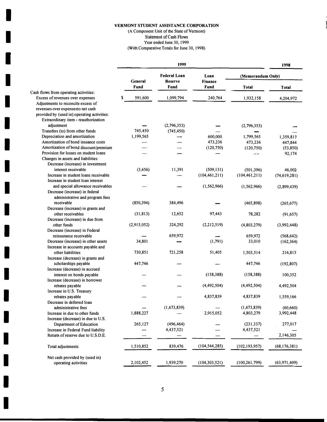I

I

I

I

I

I

I

I

(A Component Unit of the State of Vermont) Statement of Cash Flows

Year ended June 30, 1999 (With Comparative Totals for June 30, 1998)

|                                                                           |               | 1999                                  |                        |                   | 1998           |  |
|---------------------------------------------------------------------------|---------------|---------------------------------------|------------------------|-------------------|----------------|--|
|                                                                           | General       | <b>Federal Loan</b><br><b>Reserve</b> | Loan<br><b>Finance</b> | (Memorandum Only) |                |  |
|                                                                           | Fund          | Fund                                  | <b>Fund</b>            | <b>Total</b>      | <b>Total</b>   |  |
| Cash flows from operating activities:<br>Excess of revenues over expenses | 591,600<br>\$ | 1,099,794                             | 240,764                | 1,932,158         | 4,204,972      |  |
| Adjustments to reconcile excess of                                        |               |                                       |                        |                   |                |  |
| revenues over expensesto net cash                                         |               |                                       |                        |                   |                |  |
| provided by (used in) operating activities:                               |               |                                       |                        |                   |                |  |
| Extraordinary item - reauthorization                                      |               |                                       |                        |                   |                |  |
| adjustment                                                                |               | (2,796,353)                           |                        | (2,796,353)       |                |  |
| Transfers (to) from other funds                                           | 745,450       | (745, 450)                            |                        |                   |                |  |
| Depreciation and amortization                                             | 1,199,565     |                                       | 600,000                | 1,799,565         | 1,359,817      |  |
| Amortization of bond issuance costs                                       |               |                                       | 473,236                | 473,236           | 447,844        |  |
| Amortization of bond discount/premium                                     |               |                                       | (120, 750)             | (120, 750)        | (53, 850)      |  |
| Provision for losses on student loans                                     |               |                                       |                        |                   | 92,174         |  |
| Changes in assets and liabilities:                                        |               |                                       |                        |                   |                |  |
| Decrease (increase) in investment                                         |               |                                       |                        |                   |                |  |
| interest receivable                                                       | (3,656)       | 11,391                                | (509, 131)             | (501, 396)        | 46,002         |  |
| Increase in student loans receivable                                      |               |                                       | (104, 461, 211)        | (104, 461, 211)   | (74, 619, 281) |  |
| Increase in student loan interest                                         |               |                                       |                        |                   |                |  |
| and special allowance receivables                                         |               |                                       | (1, 562, 966)          | (1, 562, 966)     | (2,899,439)    |  |
| Decrease (increase) in federal                                            |               |                                       |                        |                   |                |  |
| administrative and program fees                                           |               |                                       |                        |                   |                |  |
| receivable                                                                | (850, 394)    | 384,496                               |                        | (465, 898)        | (265, 677)     |  |
| Decrease (increase) in grants and                                         |               |                                       |                        |                   |                |  |
| other receivables                                                         | (31, 813)     | 12,652                                | 97,443                 | 78,282            | (91, 657)      |  |
| Decrease (increase) in due from                                           |               |                                       |                        |                   |                |  |
| other funds                                                               | (2,915,052)   | 324,292                               | (2, 212, 519)          | (4,803,279)       | (3,992,448)    |  |
| Decrease (increase) in Federal                                            |               |                                       |                        |                   |                |  |
| reinsurance receivable                                                    |               | 659,972                               |                        | 659,972           | (568, 642)     |  |
| Decrease (increase) in other assets                                       | 34,801        |                                       | (1,791)                | 33,010            | (162, 364)     |  |
| Increase in accounts payable and                                          |               |                                       |                        |                   |                |  |
| other liabilities                                                         | 730,851       | 721,258                               | 51,405                 | 1,503,514         | 216,815        |  |
| Increase (decrease) in grants and                                         |               |                                       |                        |                   |                |  |
| scholarships payable                                                      | 447,746       |                                       |                        | 447,746           | (192, 807)     |  |
| Increase (decrease) in accrued                                            |               |                                       |                        |                   |                |  |
| interest on bonds payable                                                 |               |                                       | (158, 388)             | (158, 388)        | 100,352        |  |
| Increase (decrease) in borrower                                           |               |                                       |                        |                   |                |  |
| rebates payable                                                           |               |                                       | (4,492,504)            | (4,492,504)       | 4,492,504      |  |
| Increase in U.S. Treasury                                                 |               |                                       |                        |                   |                |  |
| rebates payable                                                           |               |                                       | 4,837,839              | 4,837,839         | 1,559,166      |  |
| Decrease in deferred loan                                                 |               |                                       |                        |                   |                |  |
| administrative fees                                                       |               | (1,673,839)                           |                        | (1,673,839)       | (60, 660)      |  |
| Increase in due to other funds                                            | 1,888,227     |                                       | 2,915,052              | 4,803,279         | 3,992,448      |  |
| Increase (decrease) in due to U.S.                                        |               |                                       |                        |                   |                |  |
| Department of Education                                                   | 265,127       | (496, 464)                            |                        | (231, 337)        | 277,017        |  |
| Increase in Federal Fund liability                                        |               | 4,437,521                             |                        | 4,437,521         |                |  |
| Return of reserve due to U.S.D.E.                                         |               |                                       |                        |                   | 2,146,305      |  |
|                                                                           |               |                                       |                        |                   |                |  |
| Total adjustments                                                         | 1,510,852     | 839,476                               | (104, 544, 285)        | (102, 193, 957)   | (68, 176, 381) |  |
| Net cash provided by (used in)                                            |               |                                       |                        |                   |                |  |
| operating activities                                                      | 2,102,452     | 1,939,270                             | (104, 303, 521)        | (100, 261, 799)   | (63, 971, 409) |  |
|                                                                           |               |                                       |                        |                   |                |  |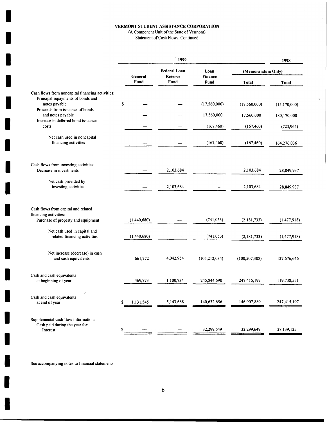(A Component Unit of the State of Vernont)

 $\hat{\boldsymbol{\epsilon}}$ 

Statement of Cash Flows, Continued

 $\bar{A}$ 

|                                                                                            | 1999            |                                       |                        | 1998              |                |
|--------------------------------------------------------------------------------------------|-----------------|---------------------------------------|------------------------|-------------------|----------------|
|                                                                                            | General         | <b>Federal Loan</b><br><b>Reserve</b> | Loan<br><b>Finance</b> | (Memorandum Only) |                |
|                                                                                            | <b>Fund</b>     | Fund                                  | Fund                   | <b>Total</b>      | <b>Total</b>   |
| Cash flows from noncapital financing activities:                                           |                 |                                       |                        |                   |                |
| Principal repayments of bonds and<br>notes payable                                         | \$              |                                       | (17, 560, 000)         | (17,560,000)      | (15, 170, 000) |
| Proceeds from issuance of bonds<br>and notes payable<br>Increase in deferred bond issuance |                 |                                       | 17,560,000             | 17,560,000        | 180,170,000    |
| costs                                                                                      |                 |                                       | (167, 460)             | (167, 460)        | (723, 964)     |
| Net cash used in noncapital<br>financing activities                                        |                 |                                       | (167, 460)             | (167, 460)        | 164,276,036    |
| Cash flows from investing activities:<br>Decrease in investments                           |                 | 2,103,684                             |                        | 2,103,684         | 28,849,937     |
|                                                                                            |                 |                                       |                        |                   |                |
| Net cash provided by<br>investing activities                                               |                 | 2,103,684                             |                        | 2,103,684         | 28,849,937     |
| Cash flows from capital and related<br>financing activities:                               |                 |                                       |                        |                   |                |
| Purchase of property and equipment                                                         | (1,440,680)     |                                       | (741, 053)             | (2, 181, 733)     | (1, 477, 918)  |
| Net cash used in capital and<br>related financing activities                               | (1,440,680)     |                                       | (741, 053)             | (2,181,733)       | (1, 477, 918)  |
| Net increase (decrease) in cash<br>and cash equivalents                                    | 661,772         | 4,042,954                             | (105, 212, 034)        | (100, 507, 308)   | 127,676,646    |
| Cash and cash equivalents<br>at beginning of year                                          | 469,773         | 1,100,734                             | 245,844,690            | 247,415,197       | 119,738,551    |
| Cash and cash equivalents<br>at end of year                                                | 1,131,545<br>\$ | 5,143,688                             | 140,632,656            | 146,907,889       | 247,415,197    |
| Supplemental cash flow information:<br>Cash paid during the year for:<br>Interest          | \$              |                                       | 32,299,649             | 32,299,649        | 28,139,125     |

See accompanying notes to financial statements.

I

I

I

I

I

I

**I**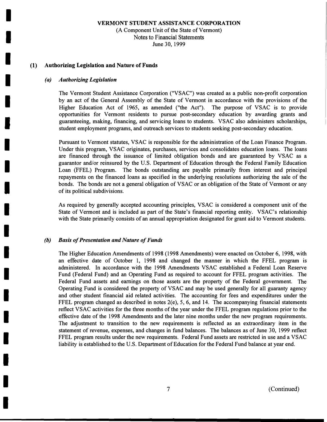(A Component Unit of the State of Vermont) Notes to Financial Statements June 30, 1999

#### **(1) Authorizing Legislation and Nature of Funds**

#### *(a) Authorizing Legislation*

I

I

I

I

I

I

I

I

I

I

I

I

I

I

I

I

I

I

I

The Vermont Student Assistance Corporation ("VSAC") was created as a public non-profit corporation by an act of the General Assembly of the State of Vermont in accordance with the provisions of the Higher Education Act of 1965, as amended ("the Act"). The purpose of VSAC is to provide opportunities for Vermont residents to pursue post-secondary education by awarding grants and guaranteeing, making, financing, and servicing loans to students. VSAC also administers scholarships, student employment programs, and outreach services to students seeking post-secondary education.

Pursuant to Vermont statutes, VSAC is responsible for the administration of the Loan Finance Program. Under this program, VSAC originates, purchases, services and consolidates education loans. The loans are financed through the issuance of limited obligation bonds and are guaranteed by VSAC as a guarantor and/or reinsured by the U.S. Department of Education through the Federal Family Education Loan (FFEL) Program. The bonds outstanding are payable primarily from interest and principal repayments on the financed loans as specified in the underlying resolutions authorizing the sale of the bonds. The bonds are not a general obligation of VSAC or an obligation of the State of Vermont or any of its political subdivisions.

As required by generally accepted accounting principles, VSAC is considered a component unit of the State of Vermont and is included as part of the State's financial reporting entity. VSAC's relationship with the State primarily consists of an annual appropriation designated for grant aid to Vermont students.

#### *(b) Basis of Presentation and Nature of Funds*

The Higher Education Amendments of 1998 (1998 Amendments) were enacted on October 6, 1998, with an effective date of October 1, 1998 and changed the manner in which the FFEL program is administered. In accordance with the 1998 Amendments VSAC established a Federal Loan Reserve Fund (Federal Fund) and an Operating Fund as required to account for FFEL program activities. The Federal Fund assets and earnings on those assets are the property of the Federal government. The Operating Fund is considered the property of VSAC and may be used generally for all guaranty agency and other student financial aid related activities. The accounting for fees and expenditures under the FFEL program changed as described in notes  $2(e)$ , 5, 6, and 14. The accompanying financial statements reflect VSAC activities for the three months of the year under the FFEL program regulations prior to the effective date of the 1998 Amendments and the later nine months under the new program requirements. The adjustment to transition to the new requirements is reflected as an extraordinary item in the statement of revenue, expenses, and changes in fund balances. The balances as of June 30, 1999 reflect FFEL program results under the new requirements. Federal Fund assets are restricted in use and a VSAC liability is established to the U.S. Department of Education for the Federal Fund balance at year end.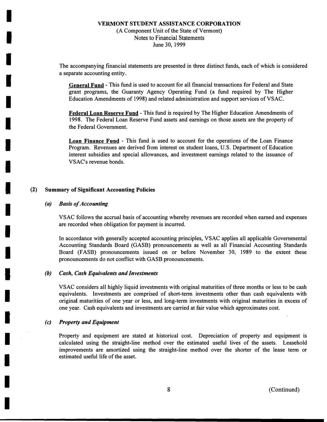### **VERMONT STUDENT ASSISTANCE CORPORATION**  (A Component Unit of the State of Vermont) Notes to Financial Statements June 30, 1999

The accompanying financial statements are presented in three distinct funds, each of which is considered a separate accounting entity.

**General Fund** - This fund is used to account for all financial transactions for Federal and State grant programs, the Guaranty Agency Operating Fund (a fund required by The Higher Education Amendments of 1998) and related administration and support services ofVSAC.

**Federal Loan Reserve Fund** - This fund is required by The Higher Education Amendments of 1998. The Federal Loan Reserve Fund assets and earnings on those assets are the property of the Federal Government.

**Loan Finance Fund** - This fund is used to account for the operations of the Loan Finance Program. Revenues are derived from interest on student loans, U.S. Department of Education interest subsidies and special allowances, and investment earnings related to the issuance of VSAC's revenue bonds.

#### **(2) Summary of Significant Accounting Policies**

#### *(a) Basis of Accounting*

I

I

**1** 

I

I

I

I

I

I

I

I

I

I

I

I

I

I

I

I

VSAC follows the accrual basis of accounting whereby revenues are recorded when earned and expenses are recorded when obligation for payment is incurred.

In accordance with generally accepted accounting principles, VSAC applies all applicable Governmental Accounting Standards Board (GASB) pronouncements as well as all Financial Accounting Standards Board (FASB) pronouncements issued on or before November 30, 1989 to the extent these pronouncements do not conflict with GASB pronouncements.

#### *(b) Cash, Cash Equivalents and Investments*

VSAC considers all highly liquid investments with original maturities of three months or less to be cash equivalents. Investments are comprised of short-term investments other than cash equivalents with original maturities of one year or less, and long-term investments with original maturities in excess of one year. Cash equivalents and investments are carried at fair value which approximates cost.

#### *(c) Property and Equipment*

Property and equipment are stated at historical cost. Depreciation of property and equipment is calculated using the straight-line method over the estimated useful lives of the assets. Leasehold improvements are amortized using the straight-line method over the shorter of the lease term or estimated useful life of the asset.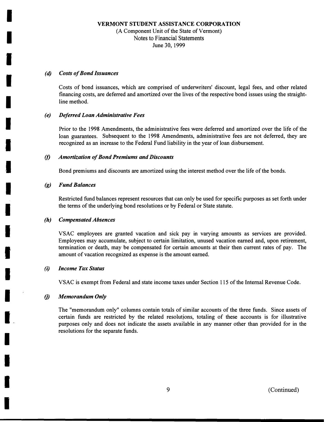### **VERMONT STUDENT ASSISTANCE CORPORATION**  (A Component Unit of the State of Vermont) Notes to Financial Statements June 30, 1999

#### *(d) Costs of Bond Issuances*

I

I

I

I

I

I

I

I

I

I

I

I

I

I

I

I

I

Costs of bond issuances, which are comprised of underwriters' discount, legal fees, and other related financing costs, are deferred and amortized over the lives of the respective bond issues using the straightline method.

#### *(e) Deferred Loan Administrative Fees*

Prior to the 1998 Amendments, the administrative fees were deferred and amortized over the life of the loan guarantees. Subsequent to the 1998 Amendments, administrative fees are not deferred, they are recognized as an increase to the Federal Fund liability in the year of loan disbursement.

#### *(I) Amortization of Bond Premiums and Discounts*

Bond premiums and discounts are amortized using the interest method over the life of the bonds.

#### *(g) Fund Balances*

Restricted fund balances represent resources that can only be used for specific purposes as set forth under the terms of the underlying bond resolutions or by Federal or State statute.

#### *(h) Compensated Absences*

VSAC employees are granted vacation and sick pay in varying amounts as services are provided. Employees may accumulate, subject to certain limitation, unused vacation earned and, upon retirement, termination or death, may be compensated for certain amounts at their then current rates of pay. The amount of vacation recognized as expense is the amount earned.

#### *(i) Income Tax Status*

VSAC is exempt from Federal and state income taxes under Section 115 of the Internal Revenue Code.

#### *(j) Memorandum Only*

The "memorandum only" columns contain totals of similar accounts of the three funds. Since assets of certain funds are restricted by the related resolutions, totaling of these accounts is for illustrative purposes only and does not indicate the assets available in any manner other than provided for in the resolutions for the separate funds.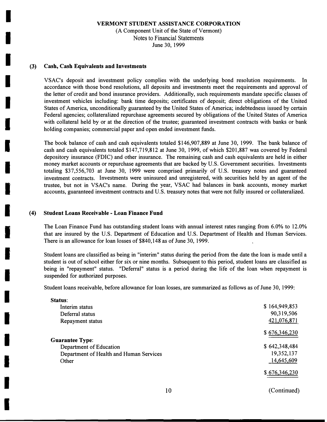(A Component Unit of the State of Vermont) Notes to Financial Statements June 30, 1999

#### **(3) Cash, Cash Equivalents and Investments**

I

I

I

I

I

I

I

I

I

I

I

I

I

I

I

I

I

I

VSAC's deposit and investment policy complies with the underlying bond resolution requirements. In accordance with those bond resolutions, all deposits and investments meet the requirements and approval of the letter of credit and bond insurance providers. Additionally, such requirements mandate specific classes of investment vehicles including: bank time deposits; certificates of deposit; direct obligations of the United States of America, unconditionally guaranteed by the United States of America; indebtedness issued by certain Federal agencies; collateralized repurchase agreements secured by obligations of the United States of America with collateral held by or at the direction of the trustee; guaranteed investment contracts with banks or bank holding companies; commercial paper and open ended investment funds.

The book balance of cash and cash equivalents totaled \$146,907,889 at June 30, 1999. The bank balance of cash and cash equivalents totaled \$147,719,812 at June 30, 1999, of which \$201,887 was covered by Federal depository insurance (FDIC) and other insurance. The remaining cash and cash equivalents are held in either money market accounts or repurchase agreements that are backed by U.S. Government securities. Investments totaling \$37,556,703 at June 30, 1999 were comprised primarily of U.S. treasury notes and guaranteed investment contracts. Investments were uninsured and unregistered, with securities held by an agent of the trustee, but not in VSAC's name. During the year, VSAC had balances in bank accounts, money market accounts, guaranteed investment contracts and U.S. treasury notes that were not fully insured or collateralized.

#### **(4) Student Loans Receivable - Loan Finance Fund**

The Loan Finance Fund has outstanding student loans with annual interest rates ranging from 6.0% to 12.0% that are insured by the U.S. Department of Education and U.S. Department of Health and Human Services. There is an allowance for loan losses of \$840,148 as of June 30, 1999.

Student loans are classified as being in "interim" status during the period from the date the loan is made until a student is out of school either for six or nine months. Subsequent to this period, student loans are classified as being in "repayment" status. "Deferral" status is a period during the life of the loan when repayment is suspended for authorized purposes.

Student loans receivable, before allowance for loan losses, are summarized as follows as of June 30, 1999:

| Status:                                 |               |
|-----------------------------------------|---------------|
| Interim status                          | \$164,949,853 |
| Deferral status                         | 90,319,506    |
| Repayment status                        | 421,076,871   |
|                                         | \$676,346,230 |
| <b>Guarantee Type:</b>                  |               |
| Department of Education                 | \$642,348,484 |
| Department of Health and Human Services | 19,352,137    |
| Other                                   | 14,645,609    |
|                                         | \$676,346,230 |
|                                         |               |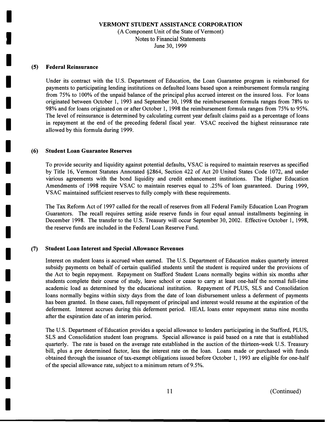(A Component Unit of the State of Vermont) Notes to Financial Statements June 30, 1999

#### **(5) Federal Reinsurance**

I

I

I

I

I

I

I

I

I

I

I

I

I

I

I

I

I

I

I

Under its contract with the U.S. Department of Education, the Loan Guarantee program is reimbursed for payments to participating lending institutions on defaulted loans based upon a reimbursement formula ranging from 75% to 100% of the unpaid balance of the principal plus accrued interest on the insured loss. For loans originated between October 1, 1993 and September 30, 1998 the reimbursement formula ranges from 78% to 98% and for loans originated on or after October 1, 1998 the reimbursement formula ranges from 75% to 95%. The level of reinsurance is determined by calculating current year default claims paid as a percentage of loans in repayment at the end of the preceding federal fiscal year. VSAC received the highest reinsurance rate allowed by this formula during 1999.

#### **(6) Student Loan Guarantee Reserves**

To provide security and liquidity against potential defaults, VSAC is required to maintain reserves as specified by Title 16, Vermont Statutes Annotated §2864, Section 422 of Act 20 United States Code 1072, and under various agreements with the bond liquidity and credit enhancement institutions. The Higher Education Amendments of 1998 require VSAC to maintain reserves equal to .25% of loan guaranteed. During 1999, VSAC maintained sufficient reserves to fully comply with these requirements.

The Tax Reform Act of 1997 called for the recall of reserves from all Federal Family Education Loan Program Guarantors. The recall requires setting aside reserve funds in four equal annual installments beginning in December 1998. The transfer to the U.S. Treasury will occur September 30, 2002. Effective October 1, 1998, the reserve funds are included in the Federal Loan Reserve Fund.

#### **(7) Student Loan Interest and Special Allowance Revenues**

Interest on student loans is accrued when earned. The U.S. Department of Education makes quarterly interest subsidy payments on behalf of certain qualified students until the student is required under the provisions of the Act to begin repayment. Repayment on Stafford Student Loans normally begins within six months after students complete their course of study, leave school or cease to carry at least one-half the normal full-time academic load as determined by the educational institution. Repayment of PLUS, SLS and Consolidation loans normally begins within sixty days from the date of loan disbursement unless a deferment of payments has been granted. In these cases, full repayment of principal and interest would resume at the expiration of the deferment. Interest accrues during this deferment period. HEAL loans enter repayment status nine months after the expiration date of an interim period.

The U.S. Department of Education provides a special allowance to lenders participating in the Stafford, PLUS, SLS and Consolidation student loan programs. Special allowance is paid based on a rate that is established quarterly. The rate is based on the average rate established in the auction of the thirteen-week U.S. Treasury bill, plus a pre determined factor, less the interest rate on the loan. Loans made or purchased with funds obtained through the issuance of tax-exempt obligations issued before October 1, 1993 are eligible for one-half of the special allowance rate, subject to a minimum return of 9.5%.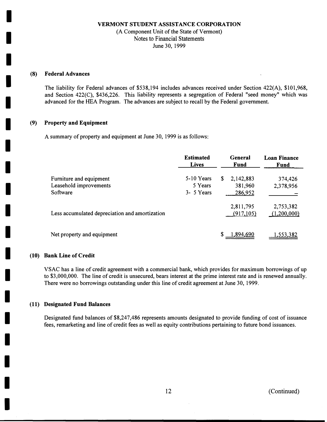(A Component Unit of the State of Vermont) Notes to Financial Statements June 30, 1999

#### **(8) Federal Advances**

I

I

I

I

I

I

I

I

I

I

I

I

I

I

I

I

I

I

I

The liability for Federal advances of \$538,194 includes advances received under Section 422(A), \$101,968, and Section 422(C), \$436,226. This liability represents a segregation of Federal "seed money" which was advanced for the HEA Program. The advances are subject to recall by the Federal government.

#### **(9) Property and Equipment**

A summary of property and equipment at June 30, 1999 is as follows:

|                                                               | <b>Estimated</b><br><b>Lives</b>       | General<br>Fund                       | <b>Loan Finance</b><br><b>Fund</b> |
|---------------------------------------------------------------|----------------------------------------|---------------------------------------|------------------------------------|
| Furniture and equipment<br>Leasehold improvements<br>Software | 5-10 Years<br>5 Years<br>$3 - 5$ Years | \$<br>2,142,883<br>381,960<br>286,952 | 374,426<br>2,378,956               |
| Less accumulated depreciation and amortization                |                                        | 2,811,795<br>(917, 105)               | 2,753,382<br>(1,200,000)           |
| Net property and equipment                                    |                                        | .894.690                              | .553.3                             |

#### **(10) Bank Line of Credit**

VSAC has a line of credit agreement with a commercial bank, which provides for maximum borrowings of up to \$3,000,000. The line of credit is unsecured, bears interest at the prime interest rate and is renewed annually. There were no borrowings outstanding under this line of credit agreement at June 30, 1999.

#### **(11) Designated Fund Balances**

Designated fund balances of \$8,247,486 represents amounts designated to provide funding of cost of issuance fees, remarketing and line of credit fees as well as equity contributions pertaining to future bond issuances.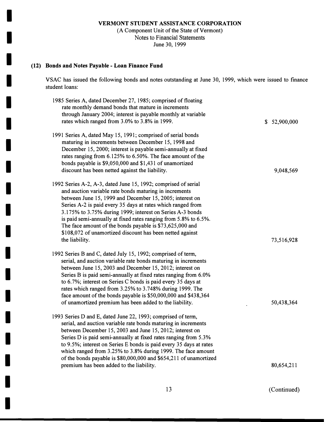(A Component Unit of the State of Vermont) Notes to Financial Statements June 30, 1999

## **(12) Bonds and Notes Payable - Loan Finance Fund**

I

I

I

I

I

I

I

I

I

I

I

I

I

I

I

I

I

I

I

VSAC has issued the following bonds and notes outstanding at June 30, 1999, which were issued to finance student loans:

| 1985 Series A, dated December 27, 1985; comprised of floating<br>rate monthly demand bonds that mature in increments<br>through January 2004; interest is payable monthly at variable<br>rates which ranged from 3.0% to 3.8% in 1999.                                                                                                                                                                                                                                                                                         | \$52,900,000 |
|--------------------------------------------------------------------------------------------------------------------------------------------------------------------------------------------------------------------------------------------------------------------------------------------------------------------------------------------------------------------------------------------------------------------------------------------------------------------------------------------------------------------------------|--------------|
| 1991 Series A, dated May 15, 1991; comprised of serial bonds<br>maturing in increments between December 15, 1998 and<br>December 15, 2000; interest is payable semi-annually at fixed<br>rates ranging from 6.125% to 6.50%. The face amount of the<br>bonds payable is \$9,050,000 and \$1,431 of unamortized<br>discount has been netted against the liability.                                                                                                                                                              | 9,048,569    |
| 1992 Series A-2, A-3, dated June 15, 1992; comprised of serial<br>and auction variable rate bonds maturing in increments<br>between June 15, 1999 and December 15, 2005; interest on<br>Series A-2 is paid every 35 days at rates which ranged from<br>3.175% to 3.75% during 1999; interest on Series A-3 bonds<br>is paid semi-annually at fixed rates ranging from 5.8% to 6.5%.<br>The face amount of the bonds payable is \$73,625,000 and<br>\$108,072 of unamortized discount has been netted against<br>the liability. | 73,516,928   |
| 1992 Series B and C, dated July 15, 1992; comprised of term,<br>serial, and auction variable rate bonds maturing in increments<br>between June 15, 2003 and December 15, 2012; interest on<br>Series B is paid semi-annually at fixed rates ranging from 6.0%<br>to 6.7%; interest on Series C bonds is paid every 35 days at<br>rates which ranged from 3.25% to 3.748% during 1999. The<br>face amount of the bonds payable is \$50,000,000 and \$438,364<br>of unamortized premium has been added to the liability.         | 50,438,364   |
| 1993 Series D and E, dated June 22, 1993; comprised of term,<br>serial, and auction variable rate bonds maturing in increments<br>between December 15, 2003 and June 15, 2012; interest on<br>Series D is paid semi-annually at fixed rates ranging from 5.3%<br>to 9.5%; interest on Series E bonds is paid every 35 days at rates<br>which ranged from 3.25% to 3.8% during 1999. The face amount<br>of the bonds payable is \$80,000,000 and \$654,211 of unamortized<br>premium has been added to the liability.           | 80,654,211   |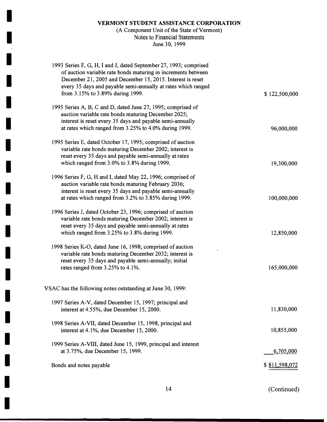I

 $\mathcal{I}$ 

I

I

I

I

I

I

I

I

I

I

I

I

I

I

I

I

I

# (A Component Unit of the State of Vermont) Notes to Financial Statements June 30, 1999

| 1993 Series F, G, H, I and J, dated September 27, 1993; comprised<br>of auction variable rate bonds maturing in increments between<br>December 21, 2005 and December 15, 2015. Interest is reset<br>every 35 days and payable semi-annually at rates which ranged<br>from 3.15% to 3.89% during 1999. | \$122,500,000 |
|-------------------------------------------------------------------------------------------------------------------------------------------------------------------------------------------------------------------------------------------------------------------------------------------------------|---------------|
| 1995 Series A, B, C and D, dated June 27, 1995; comprised of<br>auction variable rate bonds maturing December 2025;<br>interest is reset every 35 days and payable semi-annually<br>at rates which ranged from 3.25% to 4.0% during 1999.                                                             | 96,000,000    |
| 1995 Series E, dated October 17, 1995; comprised of auction<br>variable rate bonds maturing December 2002; interest is<br>reset every 35 days and payable semi-annually at rates<br>which ranged from 3.0% to 3.8% during 1999.                                                                       | 19,300,000    |
| 1996 Series F, G, H and I, dated May 22, 1996; comprised of<br>auction variable rate bonds maturing February 2036;<br>interest is reset every 35 days and payable semi-annually<br>at rates which ranged from 3.2% to 3.85% during 1999.                                                              | 100,000,000   |
| 1996 Series J, dated October 23, 1996; comprised of auction<br>variable rate bonds maturing December 2002; interest is<br>reset every 35 days and payable semi-annually at rates<br>which ranged from 3.25% to 3.8% during 1999.                                                                      | 12,850,000    |
| 1998 Series K-O, dated June 16, 1998; comprised of auction<br>variable rate bonds maturing December 2032; interest is<br>reset every 35 days and payable semi-annually; initial<br>rates ranged from 3.25% to 4.1%.                                                                                   | 165,000,000   |
| VSAC has the following notes outstanding at June 30, 1999:                                                                                                                                                                                                                                            |               |
| 1997 Series A-V, dated December 15, 1997; principal and<br>interest at 4.55%, due December 15, 2000.                                                                                                                                                                                                  | 11,830,000    |
| 1998 Series A-VII, dated December 15, 1998, principal and<br>interest at 4.1%, due December 15, 2000.                                                                                                                                                                                                 | 10,855,000    |
| 1999 Series A-VIII, dated June 15, 1999, principal and interest<br>at 3.75%, due December 15, 1999.                                                                                                                                                                                                   | 6,705,000     |
| Bonds and notes payable                                                                                                                                                                                                                                                                               | \$811,598,072 |
|                                                                                                                                                                                                                                                                                                       |               |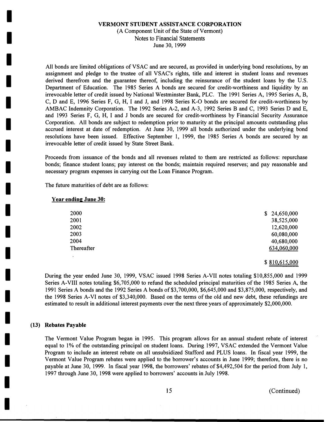#### (A Component Unit of the State of Vermont) Notes to Financial Statements June 30, 1999

All bonds are limited obligations of VSAC and are secured, as provided in underlying bond resolutions, by an assignment and pledge to the trustee of all VSAC's rights, title and interest in student loans and revenues derived therefrom and the guarantee thereof, including the reinsurance of the student loans by the U.S. Department of Education. The 1985 Series A bonds are secured for credit-worthiness and liquidity by an irrevocable letter of credit issued by National Westminster Bank, PLC. The 1991 Series A, 1995 Series A, B, C, D and E, 1996 Series F, G, H, I and J, and 1998 Series K-0 bonds are secured for credit-worthiness by AMBAC Indemnity Corporation. The 1992 Series A-2, and A-3, 1992 Series B and C, 1993 Series D and E, and 1993 Series F, G, H, I and J bonds are secured for credit-worthiness by Financial Security Assurance Corporation. All bonds are subject to redemption prior to maturity at the principal amounts outstanding plus accrued interest at date of redemption. At June 30, 1999 all bonds authorized under the underlying bond resolutions have been issued. Effective September 1, 1999, the 1985 Series A bonds are secured by an irrevocable letter of credit issued by State Street Bank.

Proceeds from issuance of the bonds and all revenues related to them are restricted as follows: repurchase bonds; finance student loans; pay interest on the bonds; maintain required reserves; and pay reasonable and necessary program expenses in carrying out the Loan Finance Program.

The future maturities of debt are as follows:

#### **Year ending June 30:**

I

I

I

I

I

I

I

I

I

I

I

I

I

I

I

I

I

I

I

| 2000       | \$24,650,000 |
|------------|--------------|
| 2001       | 38,525,000   |
| 2002       | 12,620,000   |
| 2003       | 60,080,000   |
| 2004       | 40,680,000   |
| Thereafter | 634,060,000  |

#### \$ 810,615,000

During the year ended June 30, 1999, VSAC issued 1998 Series A-VII notes totaling \$10,855,000 and 1999 Series A-VIII notes totaling \$6,705,000 to refund the scheduled principal maturities of the 1985 Series A, the 1991 Series A bonds and the 1992 Series A bonds of \$3,700,000, \$6,645,000 and \$3,875,000, respectively, and the 1998 Series A-VI notes of \$3,340,000. Based on the terms of the old and new debt, these refundings are estimated to result in additional interest payments over the next three years of approximately \$2,000,000.

#### **(13) Rebates Payable**

The Vermont Value Program began in 1995. This program allows for an annual student rebate of interest equal to 1% of the outstanding principal on student loans. During 1997, VSAC extended the Vermont Value Program to include an interest rebate on all unsubsidized Stafford and PLUS loans. In fiscal year 1999, the Vermont Value Program rebates were applied to the borrower's accounts in June 1999; therefore, there is no payable at June 30, 1999. In fiscal year 1998, the borrowers' rebates of \$4,492,504 for the period from July 1, 1997 through June 30, 1998 were applied to borrowers' accounts in July 1998.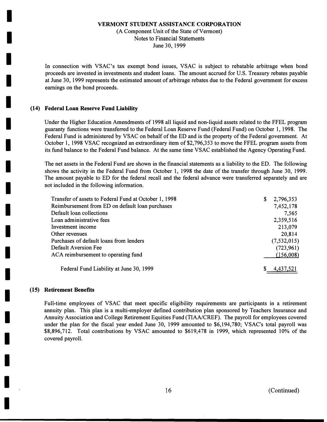(A Component Unit of the State of Vermont) Notes to Financial Statements June 30, 1999

In connection with VSAC's tax exempt bond issues, VSAC is subject to rebatable arbitrage when bond proceeds are invested in investments and student loans. The amount accrued for U.S. Treasury rebates payable at June 30, l 999 represents the estimated amount of arbitrage rebates due to the Federal government for excess earnings on the bond proceeds.

#### **(14) Federal Loan Reserve Fund Liability**

I

I

I

I

I

I

I

I

I

I

I

I

I

I

I

I

I

I

I

Under the Higher Education Amendments of 1998 all liquid and non-liquid assets related to the FFEL program guaranty functions were transferred to the Federal Loan Reserve Fund (Federal Fund) on October 1, 1998. The Federal Fund is administered by VSAC on behalf of the ED and is the property of the Federal government. At October l, 1998 VSAC recognized an extraordinary item of \$2,796,353 to move the FFEL program assets from its fund balance to the Federal Fund balance. At the same time VSAC established the Agency Operating Fund.

The net assets in the Federal Fund are shown in the financial statements as a liability to the ED. The following shows the activity in the Federal Fund from October 1, 1998 the date of the transfer through June 30, 1999. The amount payable to ED for the federal recall and the federal advance were transferred separately and are not included in the following information.

| Transfer of assets to Federal Fund at October 1, 1998 | 2,796,353<br>\$ |
|-------------------------------------------------------|-----------------|
| Reimbursement from ED on default loan purchases       | 7,452,178       |
| Default loan collections                              | 7,565           |
| Loan administrative fees                              | 2,359,516       |
| Investment income                                     | 213,079         |
| Other revenues                                        | 20,814          |
| Purchases of default loans from lenders               | (7, 532, 015)   |
| Default Aversion Fee                                  | (723, 961)      |
| ACA reimbursement to operating fund                   | (156,008)       |
| Federal Fund Liability at June 30, 1999               | 4,437,521       |

#### **(15) Retirement Benefits**

Full-time employees of VSAC that meet specific eligibility requirements are participants in a retirement annuity plan. This plan is a multi-employer defined contribution plan sponsored by Teachers Insurance and Annuity Association and College Retirement Equities Fund (TIAA/CREF). The payroll for employees covered under the plan for the fiscal year ended June 30, 1999 amounted to \$6,194,780; VSAC's total payroll was \$8,896,712. Total contributions by VSAC amounted to \$619,478 in 1999, which represented 10% of the covered payroll.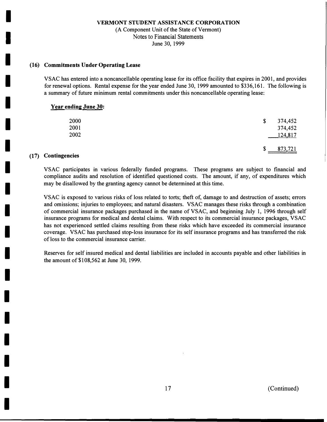(A Component Unit of the State of Vermont) Notes to Financial Statements June 30, 1999

### **(16) Commitments Under Operating Lease**

VSAC has entered into a noncancellable operating lease for its office facility that expires in 2001, and provides for renewal options. Rental expense for the year ended June 30, 1999 amounted to \$336,161. The following is a summary of future minimum rental commitments under this noncancellable operating lease:

#### **Year ending June 30:**

| 2000<br>2001<br>2002 | 374,452<br>\$<br>374,452<br>124,817 |
|----------------------|-------------------------------------|
|                      | 873,721<br>\$                       |

## **(17) Contingencies**

I

I

I

I

I

I

I

I

I

I

I

I

I

I

I

I

I

I

I

VSAC participates in various federally funded programs. These programs are subject to financial and compliance audits and resolution of identified questioned costs. The amount, if any, of expenditures which may be disallowed by the granting agency cannot be determined at this time.

VSAC is exposed to various risks of loss related to torts; theft of, damage to and destruction of assets; errors and omissions; injuries to employees; and natural disasters. VSAC manages these risks through a combination of commercial insurance packages purchased in the name of VSAC, and beginning July 1, 1996 through self insurance programs for medical and dental claims. With respect to its commercial insurance packages, VSAC has not experienced settled claims resulting from these risks which have exceeded its commercial insurance coverage. VSAC has purchased stop-loss insurance for its self insurance programs and has transferred the risk of loss to the commercial insurance carrier.

Reserves for self insured medical and dental liabilities are included in accounts payable and other liabilities in the amount of \$108,562 at June 30, 1999.